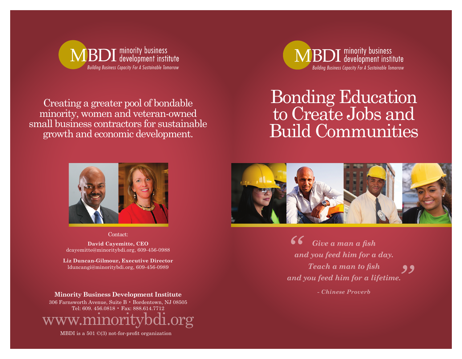

Creating a greater pool of bondable minority, women and veteran-owned small business contractors for sustainable growth and economic development.



# Bonding Education to Create Jobs and Build Communities



Contact:

**David Cayemitte, CEO** dcayemitte@minoritybdi.org, 609-456-0988

**Liz Duncan-Gilmour, Executive Director** lduncangi@minoritybdi.org, 609-456-0989

## **Minority Business Development Institute**

306 Farnsworth Avenue, Suite B • Bordentown, NJ 08505 Tel: 609. 456.0818 • Fax: 888.614.7712  $\overline{\text{org}}$ 

MBDI is a 501 ©(3) not-for-profit organization



*Give a man a fish and you feed him for a day. Teach a man to fish and you feed him for a lifetime.*  $\frac{6}{a}$ *"*

*- Chinese Proverb*